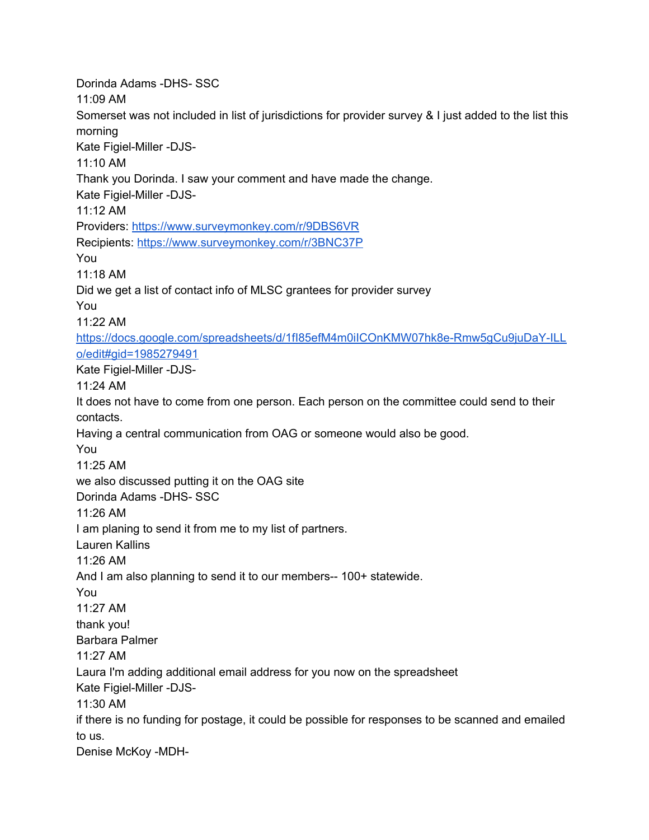Dorinda Adams -DHS- SSC 11:09 AM Somerset was not included in list of jurisdictions for provider survey & I just added to the list this morning Kate Figiel-Miller -DJS-11:10 AM Thank you Dorinda. I saw your comment and have made the change. Kate Figiel-Miller -DJS-11:12 AM Providers: [https://www.surveymonkey.com/r/9DBS6VR](https://meet.google.com/linkredirect?authuser=1&dest=https%3A%2F%2Fwww.surveymonkey.com%2Fr%2F9DBS6VR) Recipients: [https://www.surveymonkey.com/r/3BNC37P](https://meet.google.com/linkredirect?authuser=1&dest=https%3A%2F%2Fwww.surveymonkey.com%2Fr%2F3BNC37P) You 11:18 AM Did we get a list of contact info of MLSC grantees for provider survey You 11:22 AM [https://docs.google.com/spreadsheets/d/1fI85efM4m0iICOnKMW07hk8e-Rmw5gCu9juDaY-ILL](https://meet.google.com/linkredirect?authuser=1&dest=https%3A%2F%2Fdocs.google.com%2Fspreadsheets%2Fd%2F1fI85efM4m0iICOnKMW07hk8e-Rmw5gCu9juDaY-ILLo%2Fedit%23gid%3D1985279491) [o/edit#gid=1985279491](https://meet.google.com/linkredirect?authuser=1&dest=https%3A%2F%2Fdocs.google.com%2Fspreadsheets%2Fd%2F1fI85efM4m0iICOnKMW07hk8e-Rmw5gCu9juDaY-ILLo%2Fedit%23gid%3D1985279491) Kate Figiel-Miller -DJS-11:24 AM It does not have to come from one person. Each person on the committee could send to their contacts. Having a central communication from OAG or someone would also be good. You 11:25 AM we also discussed putting it on the OAG site Dorinda Adams -DHS- SSC 11:26 AM I am planing to send it from me to my list of partners. Lauren Kallins 11:26 AM And I am also planning to send it to our members-- 100+ statewide. You 11:27 AM thank you! Barbara Palmer 11:27 AM Laura I'm adding additional email address for you now on the spreadsheet Kate Figiel-Miller -DJS-11:30 AM if there is no funding for postage, it could be possible for responses to be scanned and emailed to us. Denise McKoy -MDH-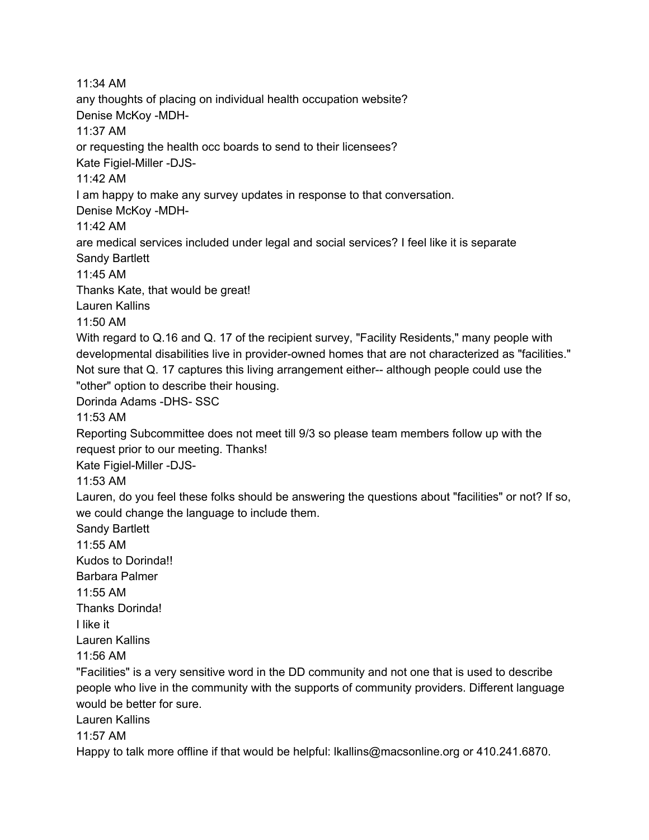11:34 AM any thoughts of placing on individual health occupation website? Denise McKoy -MDH-11:37 AM or requesting the health occ boards to send to their licensees? Kate Figiel-Miller -DJS-11:42 AM I am happy to make any survey updates in response to that conversation. Denise McKoy -MDH-11:42 AM are medical services included under legal and social services? I feel like it is separate Sandy Bartlett 11:45 AM Thanks Kate, that would be great! Lauren Kallins 11:50 AM With regard to Q.16 and Q. 17 of the recipient survey, "Facility Residents," many people with developmental disabilities live in provider-owned homes that are not characterized as "facilities." Not sure that Q. 17 captures this living arrangement either-- although people could use the "other" option to describe their housing. Dorinda Adams -DHS- SSC 11:53 AM Reporting Subcommittee does not meet till 9/3 so please team members follow up with the request prior to our meeting. Thanks! Kate Figiel-Miller -DJS-11:53 AM Lauren, do you feel these folks should be answering the questions about "facilities" or not? If so, we could change the language to include them. Sandy Bartlett 11:55 AM Kudos to Dorinda!! Barbara Palmer 11:55 AM Thanks Dorinda! I like it Lauren Kallins 11:56 AM "Facilities" is a very sensitive word in the DD community and not one that is used to describe people who live in the community with the supports of community providers. Different language would be better for sure. Lauren Kallins 11:57 AM Happy to talk more offline if that would be helpful: Ikallins@macsonline.org or 410.241.6870.